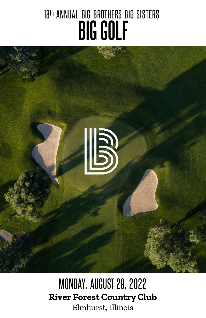# 18th ANNUAL BIG BROTHERS BIG SISTERS **BIG GOLF**



MONDAY, AUGUST 29, 2022 **River Forest CountryClub** Elmhurst, Illinois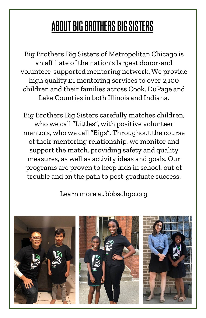### **ABOUT BIG BROTHERS BIG SISTERS**

Big Brothers Big Sisters of Metropolitan Chicago is an affiliate of the nation's largest donor-and volunteer-supported mentoring network. We provide high quality 1:1 mentoring services to over 2,100 children and their families across Cook, DuPage and Lake Counties in both Illinois and Indiana.

Big Brothers Big Sisters carefully matches children, who we call "Littles", with positive volunteer mentors, who we call "Bigs". Throughout the course of their mentoring relationship, we monitor and support the match, providing safety and quality measures, as well as activity ideas and goals. Our programs are proven to keep kids in school, out of trouble and on the path to post-graduate success.

Learn more at bbbschgo.org

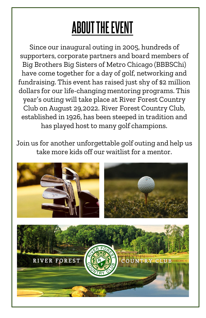# **ABOUT THE EVENT**

Since our inaugural outing in 2005, hundreds of supporters, corporate partners and board members of Big Brothers Big Sisters of Metro Chicago (BBBSChi) have come together for a day of golf, networking and fundraising. This event has raised just shy of \$2 million dollars for our life-changing mentoring programs. This year's outing will take place at River Forest Country Club on August 29,2022. River Forest Country Club, established in 1926, has been steeped in tradition and has played host to many golf champions.

Join us for another unforgettable golf outing and help us take more kids off our waitlist for a mentor.

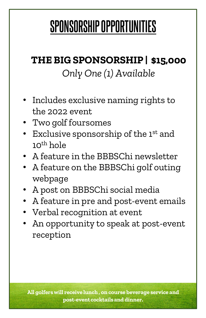## **SPONSORSHIPOPPORTUNITIES**

#### **THE BIGSPONSORSHIP | \$15,000** *Only One (1) Available*

- Includes exclusive naming rights to the 2022 event
- Two golf foursomes
- Exclusive sponsorship of the 1<sup>st</sup> and  $10^{th}$  hole
- A feature in the BBBSChi newsletter
- A feature on the BBBSChi golf outing webpage
- A post on BBBSChi social media
- A feature in pre and post-event emails
- Verbal recognition at event
- An opportunity to speak at post-event reception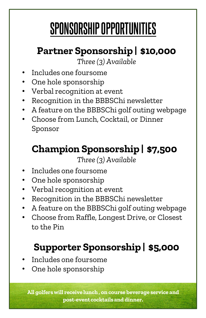# **SPONSORSHIPOPPORTUNITIES**

#### **Partner Sponsorship | \$10,000**

*Three (3) Available*

- Includes one foursome
- One hole sponsorship
- Verbal recognition at event
- Recognition in the BBBSChi newsletter
- A feature on the BBBSChi golf outing webpage
- Choose from Lunch, Cocktail, or Dinner Sponsor

#### **Champion Sponsorship | \$7,500**

*Three (3) Available*

- Includes one foursome
- One hole sponsorship
- Verbal recognition at event
- Recognition in the BBBSChi newsletter
- A feature on the BBBSChi golf outing webpage
- Choose from Raffle, Longest Drive, or Closest to the Pin

#### **Supporter Sponsorship | \$5,000**

- Includes one foursome
- One hole sponsorship

**All golfers will receive lunch , on course beverage service and post-eventcocktailsand dinner.**